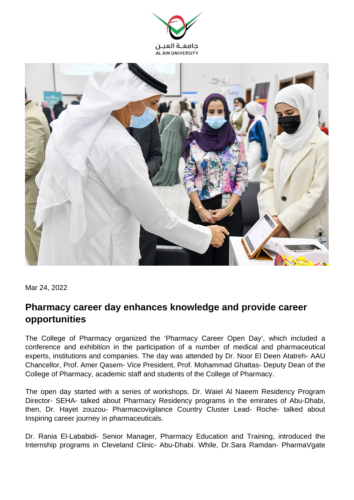



Mar 24, 2022

## **Pharmacy career day enhances knowledge and provide career opportunities**

The College of Pharmacy organized the 'Pharmacy Career Open Day', which included a conference and exhibition in the participation of a number of medical and pharmaceutical experts, institutions and companies. The day was attended by Dr. Noor El Deen Atatreh- AAU Chancellor, Prof. Amer Qasem- Vice President, Prof. Mohammad Ghattas- Deputy Dean of the College of Pharmacy, academic staff and students of the College of Pharmacy.

The open day started with a series of workshops. Dr. Waiel Al Naeem Residency Program Director- SEHA- talked about Pharmacy Residency programs in the emirates of Abu-Dhabi, then, Dr. Hayet zouzou- Pharmacovigilance Country Cluster Lead- Roche- talked about Inspiring career journey in pharmaceuticals.

Dr. Rania El-Lababidi- Senior Manager, Pharmacy Education and Training, introduced the Internship programs in Cleveland Clinic- Abu-Dhabi. While, Dr.Sara Ramdan- PharmaVgate